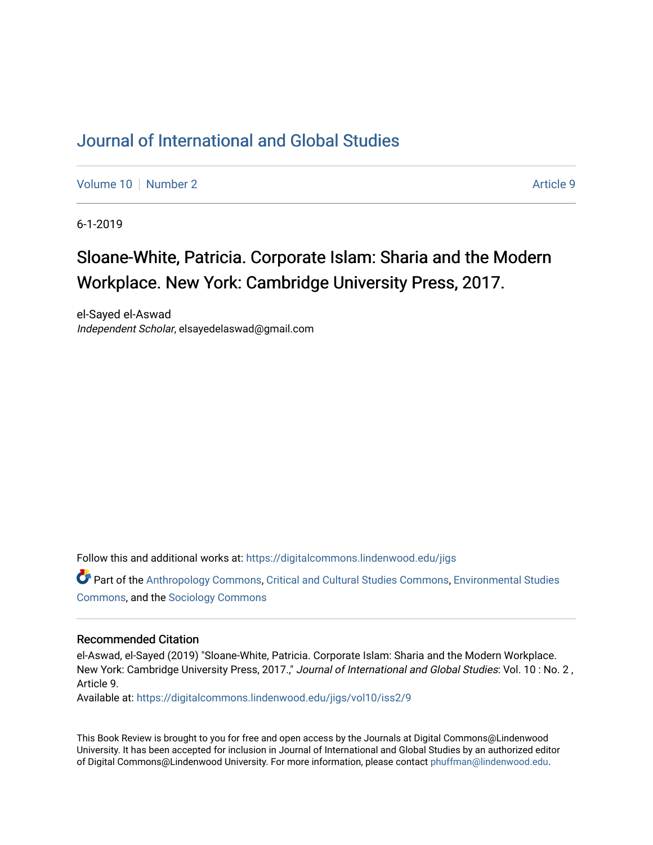## [Journal of International and Global Studies](https://digitalcommons.lindenwood.edu/jigs)

[Volume 10](https://digitalcommons.lindenwood.edu/jigs/vol10) [Number 2](https://digitalcommons.lindenwood.edu/jigs/vol10/iss2) Article 9

6-1-2019

## Sloane-White, Patricia. Corporate Islam: Sharia and the Modern Workplace. New York: Cambridge University Press, 2017.

el-Sayed el-Aswad Independent Scholar, elsayedelaswad@gmail.com

Follow this and additional works at: [https://digitalcommons.lindenwood.edu/jigs](https://digitalcommons.lindenwood.edu/jigs?utm_source=digitalcommons.lindenwood.edu%2Fjigs%2Fvol10%2Fiss2%2F9&utm_medium=PDF&utm_campaign=PDFCoverPages) 

Part of the [Anthropology Commons](http://network.bepress.com/hgg/discipline/318?utm_source=digitalcommons.lindenwood.edu%2Fjigs%2Fvol10%2Fiss2%2F9&utm_medium=PDF&utm_campaign=PDFCoverPages), [Critical and Cultural Studies Commons](http://network.bepress.com/hgg/discipline/328?utm_source=digitalcommons.lindenwood.edu%2Fjigs%2Fvol10%2Fiss2%2F9&utm_medium=PDF&utm_campaign=PDFCoverPages), [Environmental Studies](http://network.bepress.com/hgg/discipline/1333?utm_source=digitalcommons.lindenwood.edu%2Fjigs%2Fvol10%2Fiss2%2F9&utm_medium=PDF&utm_campaign=PDFCoverPages)  [Commons](http://network.bepress.com/hgg/discipline/1333?utm_source=digitalcommons.lindenwood.edu%2Fjigs%2Fvol10%2Fiss2%2F9&utm_medium=PDF&utm_campaign=PDFCoverPages), and the [Sociology Commons](http://network.bepress.com/hgg/discipline/416?utm_source=digitalcommons.lindenwood.edu%2Fjigs%2Fvol10%2Fiss2%2F9&utm_medium=PDF&utm_campaign=PDFCoverPages)

## Recommended Citation

el-Aswad, el-Sayed (2019) "Sloane-White, Patricia. Corporate Islam: Sharia and the Modern Workplace. New York: Cambridge University Press, 2017.," Journal of International and Global Studies: Vol. 10: No. 2, Article 9.

Available at: [https://digitalcommons.lindenwood.edu/jigs/vol10/iss2/9](https://digitalcommons.lindenwood.edu/jigs/vol10/iss2/9?utm_source=digitalcommons.lindenwood.edu%2Fjigs%2Fvol10%2Fiss2%2F9&utm_medium=PDF&utm_campaign=PDFCoverPages) 

This Book Review is brought to you for free and open access by the Journals at Digital Commons@Lindenwood University. It has been accepted for inclusion in Journal of International and Global Studies by an authorized editor of Digital Commons@Lindenwood University. For more information, please contact [phuffman@lindenwood.edu](mailto:phuffman@lindenwood.edu).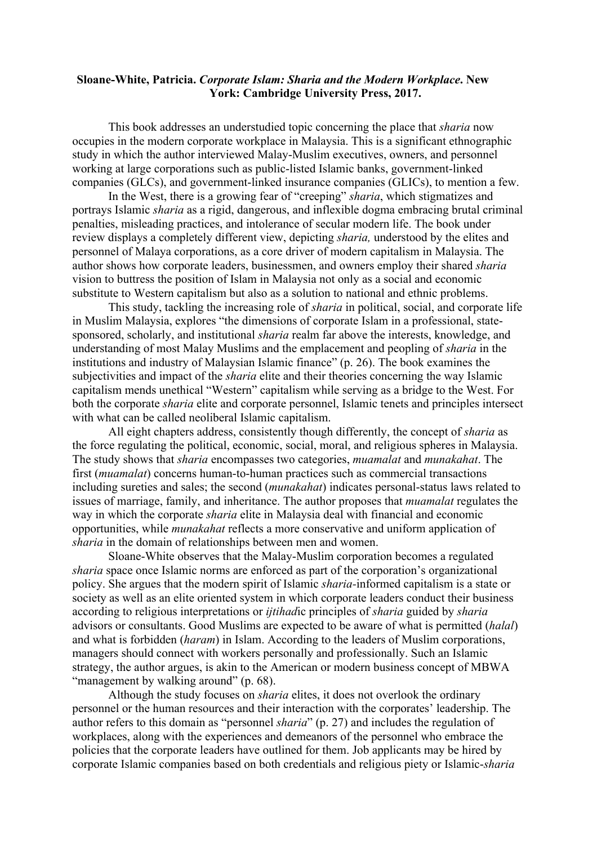## **Sloane-White, Patricia.** *Corporate Islam: Sharia and the Modern Workplace***. New York: Cambridge University Press, 2017.**

This book addresses an understudied topic concerning the place that *sharia* now occupies in the modern corporate workplace in Malaysia. This is a significant ethnographic study in which the author interviewed Malay-Muslim executives, owners, and personnel working at large corporations such as public-listed Islamic banks, government-linked companies (GLCs), and government-linked insurance companies (GLICs), to mention a few.

In the West, there is a growing fear of "creeping" *sharia*, which stigmatizes and portrays Islamic *sharia* as a rigid, dangerous, and inflexible dogma embracing brutal criminal penalties, misleading practices, and intolerance of secular modern life. The book under review displays a completely different view, depicting *sharia,* understood by the elites and personnel of Malaya corporations, as a core driver of modern capitalism in Malaysia. The author shows how corporate leaders, businessmen, and owners employ their shared *sharia*  vision to buttress the position of Islam in Malaysia not only as a social and economic substitute to Western capitalism but also as a solution to national and ethnic problems.

This study, tackling the increasing role of *sharia* in political, social, and corporate life in Muslim Malaysia, explores "the dimensions of corporate Islam in a professional, statesponsored, scholarly, and institutional *sharia* realm far above the interests, knowledge, and understanding of most Malay Muslims and the emplacement and peopling of *sharia* in the institutions and industry of Malaysian Islamic finance" (p. 26). The book examines the subjectivities and impact of the *sharia* elite and their theories concerning the way Islamic capitalism mends unethical "Western" capitalism while serving as a bridge to the West. For both the corporate *sharia* elite and corporate personnel, Islamic tenets and principles intersect with what can be called neoliberal Islamic capitalism.

All eight chapters address, consistently though differently, the concept of *sharia* as the force regulating the political, economic, social, moral, and religious spheres in Malaysia. The study shows that *sharia* encompasses two categories, *muamalat* and *munakahat*. The first (*muamalat*) concerns human-to-human practices such as commercial transactions including sureties and sales; the second (*munakahat*) indicates personal-status laws related to issues of marriage, family, and inheritance. The author proposes that *muamalat* regulates the way in which the corporate *sharia* elite in Malaysia deal with financial and economic opportunities, while *munakahat* reflects a more conservative and uniform application of *sharia* in the domain of relationships between men and women.

Sloane-White observes that the Malay-Muslim corporation becomes a regulated *sharia* space once Islamic norms are enforced as part of the corporation's organizational policy. She argues that the modern spirit of Islamic *sharia-*informed capitalism is a state or society as well as an elite oriented system in which corporate leaders conduct their business according to religious interpretations or *ijtihad*ic principles of *sharia* guided by *sharia*  advisors or consultants. Good Muslims are expected to be aware of what is permitted (*halal*) and what is forbidden (*haram*) in Islam. According to the leaders of Muslim corporations, managers should connect with workers personally and professionally. Such an Islamic strategy, the author argues, is akin to the American or modern business concept of MBWA "management by walking around" (p. 68).

Although the study focuses on *sharia* elites, it does not overlook the ordinary personnel or the human resources and their interaction with the corporates' leadership. The author refers to this domain as "personnel *sharia*" (p. 27) and includes the regulation of workplaces, along with the experiences and demeanors of the personnel who embrace the policies that the corporate leaders have outlined for them. Job applicants may be hired by corporate Islamic companies based on both credentials and religious piety or Islamic-*sharia*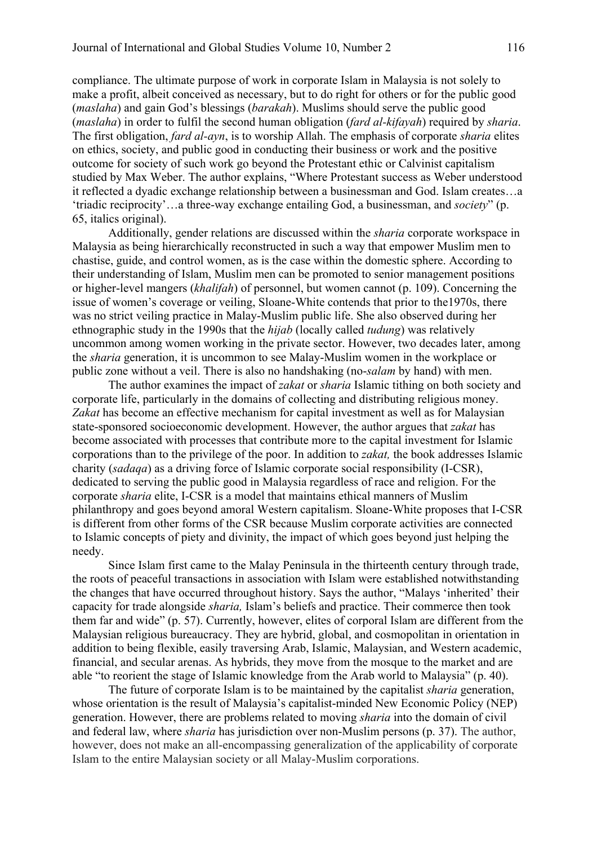compliance. The ultimate purpose of work in corporate Islam in Malaysia is not solely to make a profit, albeit conceived as necessary, but to do right for others or for the public good (*maslaha*) and gain God's blessings (*barakah*). Muslims should serve the public good (*maslaha*) in order to fulfil the second human obligation (*fard al-kifayah*) required by *sharia*. The first obligation, *fard al-ayn*, is to worship Allah. The emphasis of corporate *sharia* elites on ethics, society, and public good in conducting their business or work and the positive outcome for society of such work go beyond the Protestant ethic or Calvinist capitalism studied by Max Weber. The author explains, "Where Protestant success as Weber understood it reflected a dyadic exchange relationship between a businessman and God. Islam creates…a 'triadic reciprocity'…a three-way exchange entailing God, a businessman, and *society*" (p. 65, italics original).

Additionally, gender relations are discussed within the *sharia* corporate workspace in Malaysia as being hierarchically reconstructed in such a way that empower Muslim men to chastise, guide, and control women, as is the case within the domestic sphere. According to their understanding of Islam, Muslim men can be promoted to senior management positions or higher-level mangers (*khalifah*) of personnel, but women cannot (p. 109). Concerning the issue of women's coverage or veiling, Sloane-White contends that prior to the1970s, there was no strict veiling practice in Malay-Muslim public life. She also observed during her ethnographic study in the 1990s that the *hijab* (locally called *tudung*) was relatively uncommon among women working in the private sector. However, two decades later, among the *sharia* generation, it is uncommon to see Malay-Muslim women in the workplace or public zone without a veil. There is also no handshaking (no-*salam* by hand) with men.

The author examines the impact of *zakat* or *sharia* Islamic tithing on both society and corporate life, particularly in the domains of collecting and distributing religious money. Zakat has become an effective mechanism for capital investment as well as for Malaysian state-sponsored socioeconomic development. However, the author argues that *zakat* has become associated with processes that contribute more to the capital investment for Islamic corporations than to the privilege of the poor. In addition to *zakat,* the book addresses Islamic charity (*sadaqa*) as a driving force of Islamic corporate social responsibility (I-CSR), dedicated to serving the public good in Malaysia regardless of race and religion. For the corporate *sharia* elite, I-CSR is a model that maintains ethical manners of Muslim philanthropy and goes beyond amoral Western capitalism. Sloane-White proposes that I-CSR is different from other forms of the CSR because Muslim corporate activities are connected to Islamic concepts of piety and divinity, the impact of which goes beyond just helping the needy.

Since Islam first came to the Malay Peninsula in the thirteenth century through trade, the roots of peaceful transactions in association with Islam were established notwithstanding the changes that have occurred throughout history. Says the author, "Malays 'inherited' their capacity for trade alongside *sharia,* Islam's beliefs and practice. Their commerce then took them far and wide" (p. 57). Currently, however, elites of corporal Islam are different from the Malaysian religious bureaucracy. They are hybrid, global, and cosmopolitan in orientation in addition to being flexible, easily traversing Arab, Islamic, Malaysian, and Western academic, financial, and secular arenas. As hybrids, they move from the mosque to the market and are able "to reorient the stage of Islamic knowledge from the Arab world to Malaysia" (p. 40).

The future of corporate Islam is to be maintained by the capitalist *sharia* generation, whose orientation is the result of Malaysia's capitalist-minded New Economic Policy (NEP) generation. However, there are problems related to moving *sharia* into the domain of civil and federal law, where *sharia* has jurisdiction over non-Muslim persons (p. 37). The author, however, does not make an all-encompassing generalization of the applicability of corporate Islam to the entire Malaysian society or all Malay-Muslim corporations.